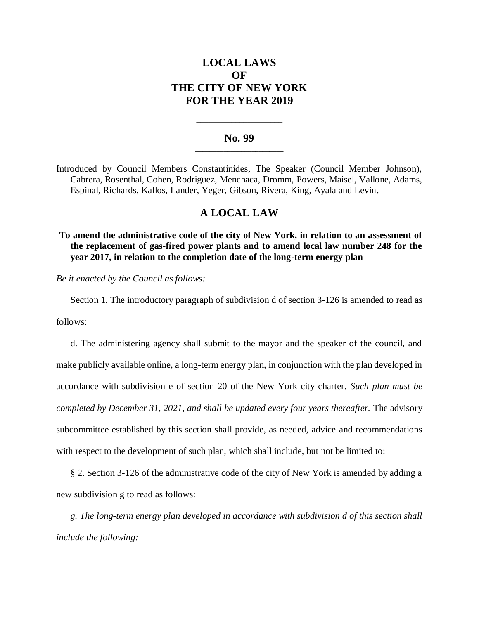# **LOCAL LAWS OF THE CITY OF NEW YORK FOR THE YEAR 2019**

## **No. 99 \_\_\_\_\_\_\_\_\_\_\_\_\_\_\_\_\_\_\_\_\_\_\_\_\_**

**\_\_\_\_\_\_\_\_\_\_\_\_\_\_\_\_\_\_\_\_\_\_**

Introduced by Council Members Constantinides, The Speaker (Council Member Johnson), Cabrera, Rosenthal, Cohen, Rodriguez, Menchaca, Dromm, Powers, Maisel, Vallone, Adams, Espinal, Richards, Kallos, Lander, Yeger, Gibson, Rivera, King, Ayala and Levin.

# **A LOCAL LAW**

**To amend the administrative code of the city of New York, in relation to an assessment of the replacement of gas-fired power plants and to amend local law number 248 for the year 2017, in relation to the completion date of the long-term energy plan**

*Be it enacted by the Council as follows:*

Section 1. The introductory paragraph of subdivision d of section 3-126 is amended to read as

follows:

d. The administering agency shall submit to the mayor and the speaker of the council, and make publicly available online, a long-term energy plan, in conjunction with the plan developed in accordance with subdivision e of section 20 of the New York city charter. *Such plan must be completed by December 31, 2021, and shall be updated every four years thereafter.* The advisory subcommittee established by this section shall provide, as needed, advice and recommendations with respect to the development of such plan, which shall include, but not be limited to:

§ 2. Section 3-126 of the administrative code of the city of New York is amended by adding a new subdivision g to read as follows:

*g. The long-term energy plan developed in accordance with subdivision d of this section shall include the following:*